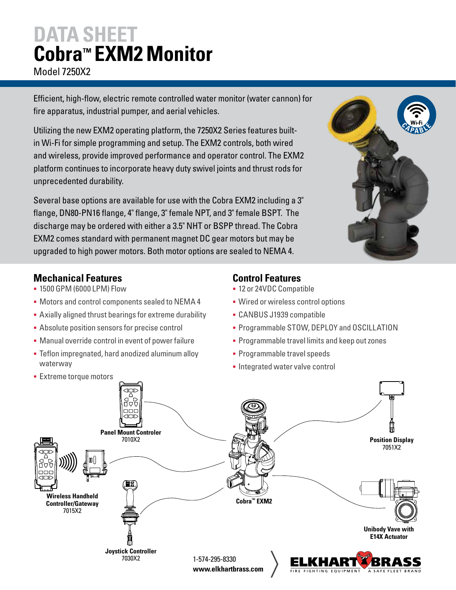### **DATA SHEET Cobra™ EXM2 Monitor** Model 7250X2

Efficient, high-flow, electric remote controlled water monitor (water cannon) for fire apparatus, industrial pumper, and aerial vehicles.

Utilizing the new EXM2 operating platform, the 7250X2 Series features builtin Wi-Fi for simple programming and setup. The EXM2 controls, both wired and wireless, provide improved performance and operator control. The EXM2 platform continues to incorporate heavy duty swivel joints and thrust rods for unprecedented durability.

Several base options are available for use with the Cobra EXM2 including a 3" flange, DN80-PN16 flange, 4" flange, 3" female NPT, and 3" female BSPT. The discharge may be ordered with either a 3.5" NHT or BSPP thread. The Cobra EXM2 comes standard with permanent magnet DC gear motors but may be upgraded to high power motors. Both motor options are sealed to NEMA 4.



#### **Mechanical Features**

- § 1500 GPM (6000 LPM) Flow
- § Motors and control components sealed to NEMA 4
- **Axially aligned thrust bearings for extreme durability**
- **Absolute position sensors for precise control**
- Manual override control in event of power failure
- Teflon impregnated, hard anodized aluminum alloy waterway
- **Extreme torque motors**

### **Control Features**

- § 12 or 24VDC Compatible
- § Wired or wireless control options
- § CANBUS J1939 compatible
- **Programmable STOW, DEPLOY and OSCILLATION**
- § Programmable travel limits and keep out zones
- § Programmable travel speeds
- Integrated water valve control

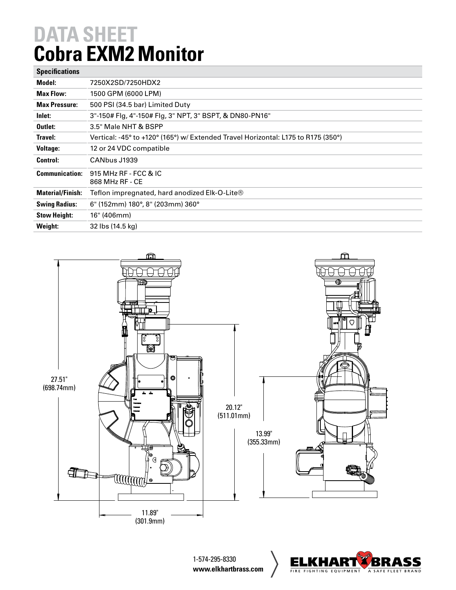## **DATA SHEET Cobra EXM2 Monitor**

| <b>Specifications</b>   |                                                                                   |
|-------------------------|-----------------------------------------------------------------------------------|
| Model:                  | 7250X2SD/7250HDX2                                                                 |
| <b>Max Flow:</b>        | 1500 GPM (6000 LPM)                                                               |
| <b>Max Pressure:</b>    | 500 PSI (34.5 bar) Limited Duty                                                   |
| Inlet:                  | 3"-150# Flg, 4"-150# Flg, 3" NPT, 3" BSPT, & DN80-PN16"                           |
| Outlet:                 | 3.5" Male NHT & BSPP                                                              |
| Travel:                 | Vertical: -45° to +120° (165°) w/ Extended Travel Horizontal: L175 to R175 (350°) |
| <b>Voltage:</b>         | 12 or 24 VDC compatible                                                           |
| <b>Control:</b>         | CANbus J1939                                                                      |
| <b>Communication:</b>   | 915 MHz RF - FCC & IC<br>868 MHz RF - CE                                          |
| <b>Material/Finish:</b> | Teflon impregnated, hard anodized Elk-O-Lite®                                     |
| <b>Swing Radius:</b>    | 6" (152mm) 180°, 8" (203mm) 360°                                                  |
| <b>Stow Height:</b>     | 16" (406mm)                                                                       |
| Weight:                 | 32 lbs (14.5 kg)                                                                  |